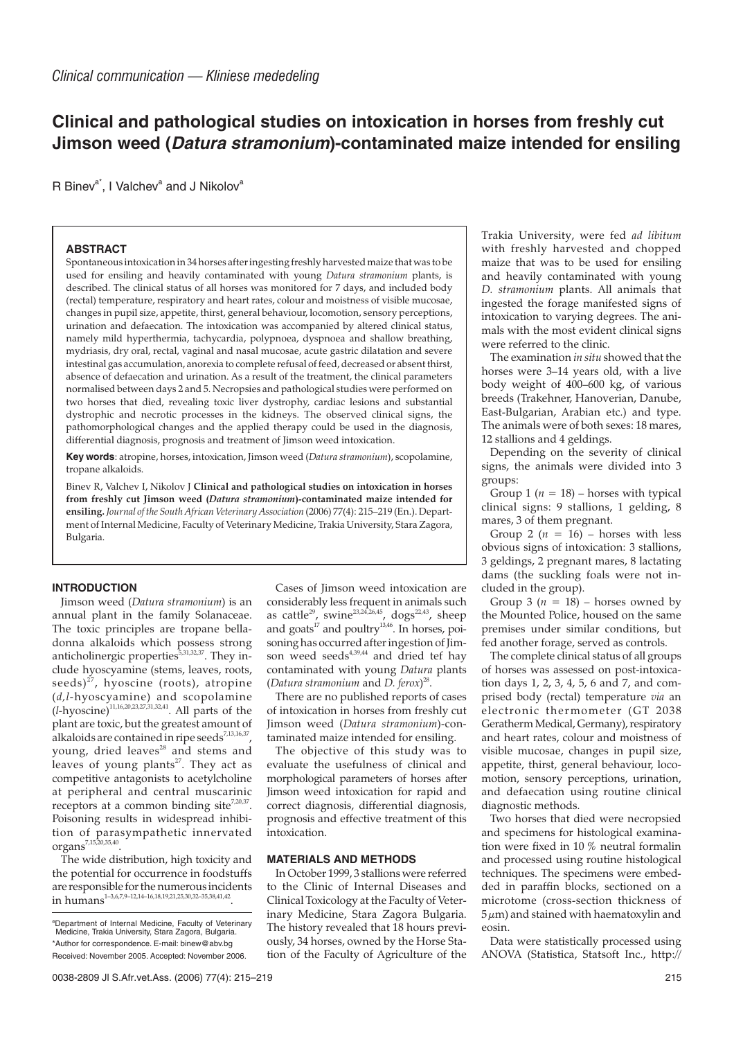# **Clinical and pathological studies on intoxication in horses from freshly cut Jimson weed (Datura stramonium)-contaminated maize intended for ensiling**

R Binev<sup>a\*</sup>, I Valchev<sup>a</sup> and J Nikolov<sup>a</sup>

#### **ABSTRACT**

Spontaneous intoxication in 34 horses after ingesting freshly harvested maize that was to be used for ensiling and heavily contaminated with young *Datura stramonium* plants, is described. The clinical status of all horses was monitored for 7 days, and included body (rectal) temperature, respiratory and heart rates, colour and moistness of visible mucosae, changes in pupil size, appetite, thirst, general behaviour, locomotion, sensory perceptions, urination and defaecation. The intoxication was accompanied by altered clinical status, namely mild hyperthermia, tachycardia, polypnoea, dyspnoea and shallow breathing, mydriasis, dry oral, rectal, vaginal and nasal mucosae, acute gastric dilatation and severe intestinal gas accumulation, anorexia to complete refusal of feed, decreased or absent thirst, absence of defaecation and urination. As a result of the treatment, the clinical parameters normalised between days 2 and 5. Necropsies and pathological studies were performed on two horses that died, revealing toxic liver dystrophy, cardiac lesions and substantial dystrophic and necrotic processes in the kidneys. The observed clinical signs, the pathomorphological changes and the applied therapy could be used in the diagnosis, differential diagnosis, prognosis and treatment of Jimson weed intoxication.

**Key words**: atropine, horses, intoxication, Jimson weed (*Datura stramonium*), scopolamine, tropane alkaloids.

Binev R, Valchev I, Nikolov J **Clinical and pathological studies on intoxication in horses from freshly cut Jimson weed (***Datura stramonium***)-contaminated maize intended for ensiling.** *Journal of the South African Veterinary Association* (2006) 77(4): 215–219 (En.). Department of Internal Medicine, Faculty of Veterinary Medicine, Trakia University, Stara Zagora, Bulgaria.

# **INTRODUCTION**

Jimson weed (*Datura stramonium*) is an annual plant in the family Solanaceae. The toxic principles are tropane belladonna alkaloids which possess strong anticholinergic properties<sup> $5,31,32,37$ </sup>. They include hyoscyamine (stems, leaves, roots, seeds) $^{27}$ , hyoscine (roots), atropine (*d,l*-hyoscyamine) and scopolamine  $(l_{\rm r}, l_{\rm r}, l_{\rm r}, l_{\rm r}, \omega_{\rm s2,27,31,32,41}$ . All parts of the plant are toxic, but the greatest amount of alkaloids are contained in ripe seeds<sup>7,13,16,37</sup>, young, dried leaves<sup>28</sup> and stems and leaves of young plants<sup>27</sup>. They act as competitive antagonists to acetylcholine at peripheral and central muscarinic receptors at a common binding site<sup>7,20,37</sup>. Poisoning results in widespread inhibition of parasympathetic innervated organs7,15,20,35,40.

The wide distribution, high toxicity and the potential for occurrence in foodstuffs are responsible for the numerous incidents in humans<sup>1–3,6,7,9–12,14–16,18,19,21,25,30,32–35,38,41,42</sup>.

Cases of Jimson weed intoxication are considerably less frequent in animals such as cattle $^{29}$ , swine $^{23,24,26,45}$ , dogs $^{22,43}$ , sheep and goats<sup>17</sup> and poultry<sup>13,46</sup>. In horses, poisoning has occurred after ingestion of  $\overline{\lim}$ son weed seeds $4,39,44$  and dried tef hav contaminated with young *Datura* plants (*Datura stramonium* and *D. ferox*) 28.

There are no published reports of cases of intoxication in horses from freshly cut Jimson weed (*Datura stramonium*)-contaminated maize intended for ensiling.

The objective of this study was to evaluate the usefulness of clinical and morphological parameters of horses after Jimson weed intoxication for rapid and correct diagnosis, differential diagnosis, prognosis and effective treatment of this intoxication.

## **MATERIALS AND METHODS**

In October 1999, 3 stallions were referred to the Clinic of Internal Diseases and Clinical Toxicology at the Faculty of Veterinary Medicine, Stara Zagora Bulgaria. The history revealed that 18 hours previously, 34 horses, owned by the Horse Station of the Faculty of Agriculture of the

Trakia University, were fed *ad libitum* with freshly harvested and chopped maize that was to be used for ensiling and heavily contaminated with young *D. stramonium* plants. All animals that ingested the forage manifested signs of intoxication to varying degrees. The animals with the most evident clinical signs were referred to the clinic.

The examination *in situ* showed that the horses were 3–14 years old, with a live body weight of 400–600 kg, of various breeds (Trakehner, Hanoverian, Danube, East-Bulgarian, Arabian etc.) and type. The animals were of both sexes: 18 mares, 12 stallions and 4 geldings.

Depending on the severity of clinical signs, the animals were divided into 3 groups:

Group 1 ( $n = 18$ ) – horses with typical clinical signs: 9 stallions, 1 gelding, 8 mares, 3 of them pregnant.

Group 2 ( $n = 16$ ) – horses with less obvious signs of intoxication: 3 stallions, 3 geldings, 2 pregnant mares, 8 lactating dams (the suckling foals were not included in the group).

Group 3 ( $n = 18$ ) – horses owned by the Mounted Police, housed on the same premises under similar conditions, but fed another forage, served as controls.

The complete clinical status of all groups of horses was assessed on post-intoxication days 1, 2, 3, 4, 5, 6 and 7, and comprised body (rectal) temperature *via* an electronic thermometer (GT 2038 Geratherm Medical, Germany), respiratory and heart rates, colour and moistness of visible mucosae, changes in pupil size, appetite, thirst, general behaviour, locomotion, sensory perceptions, urination, and defaecation using routine clinical diagnostic methods.

Two horses that died were necropsied and specimens for histological examination were fixed in 10 % neutral formalin and processed using routine histological techniques. The specimens were embedded in paraffin blocks, sectioned on a microtome (cross-section thickness of  $5 \mu m$ ) and stained with haematoxylin and eosin.

Data were statistically processed using ANOVA (Statistica, Statsoft Inc., http://

a Department of Internal Medicine, Faculty of Veterinary Medicine, Trakia University, Stara Zagora, Bulgaria. \*Author for correspondence. E-mail: binew@abv.bg Received: November 2005. Accepted: November 2006.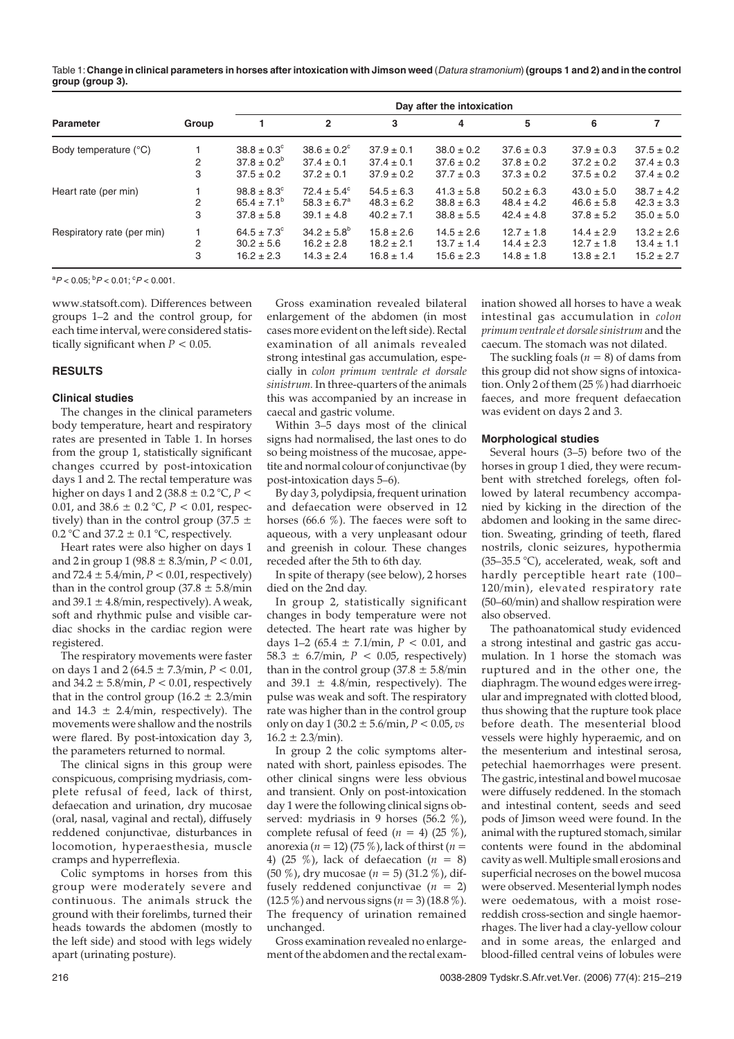Table 1:**Change in clinical parameters in horses after intoxication with Jimson weed** (Datura stramonium) **(groups 1 and 2) and in the control group (group 3).**

| <b>Parameter</b>           | Group | Day after the intoxication |                        |                |                |                |                |                |
|----------------------------|-------|----------------------------|------------------------|----------------|----------------|----------------|----------------|----------------|
|                            |       |                            | $\overline{2}$         | 3              | 4              | 5              | 6              | 7              |
| Body temperature (°C)      |       | $38.8 \pm 0.3^{\circ}$     | $38.6 \pm 0.2^{\circ}$ | $37.9 \pm 0.1$ | $38.0 \pm 0.2$ | $37.6 \pm 0.3$ | $37.9 \pm 0.3$ | $37.5 \pm 0.2$ |
|                            | 2     | $37.8 \pm 0.2^b$           | $37.4 \pm 0.1$         | $37.4 \pm 0.1$ | $37.6 \pm 0.2$ | $37.8 \pm 0.2$ | $37.2 \pm 0.2$ | $37.4 \pm 0.3$ |
|                            | 3     | $37.5 \pm 0.2$             | $37.2 \pm 0.1$         | $37.9 \pm 0.2$ | $37.7 \pm 0.3$ | $37.3 \pm 0.2$ | $37.5 \pm 0.2$ | $37.4 \pm 0.2$ |
| Heart rate (per min)       |       | $98.8 \pm 8.3^{\circ}$     | $72.4 \pm 5.4^{\circ}$ | $54.5 \pm 6.3$ | $41.3 \pm 5.8$ | $50.2 \pm 6.3$ | $43.0 \pm 5.0$ | $38.7 \pm 4.2$ |
|                            |       | $65.4 \pm 7.1^{\circ}$     | $58.3 \pm 6.7^a$       | $48.3 \pm 6.2$ | $38.8 \pm 6.3$ | $48.4 \pm 4.2$ | $46.6 \pm 5.8$ | $42.3 \pm 3.3$ |
|                            | 3     | $37.8 \pm 5.8$             | $39.1 \pm 4.8$         | $40.2 \pm 7.1$ | $38.8 \pm 5.5$ | $42.4 \pm 4.8$ | $37.8 \pm 5.2$ | $35.0 \pm 5.0$ |
| Respiratory rate (per min) |       | $64.5 \pm 7.3^{\circ}$     | $34.2 \pm 5.8^{\circ}$ | $15.8 \pm 2.6$ | $14.5 \pm 2.6$ | $12.7 \pm 1.8$ | $14.4 \pm 2.9$ | $13.2 \pm 2.6$ |
|                            | 2     | $30.2 \pm 5.6$             | $16.2 \pm 2.8$         | $18.2 \pm 2.1$ | $13.7 \pm 1.4$ | $14.4 \pm 2.3$ | $12.7 \pm 1.8$ | $13.4 \pm 1.1$ |
|                            | 3     | $16.2 \pm 2.3$             | $14.3 \pm 2.4$         | $16.8 \pm 1.4$ | $15.6 \pm 2.3$ | $14.8 \pm 1.8$ | $13.8 \pm 2.1$ | $15.2 \pm 2.7$ |

 ${}^{a}P$  < 0.05;  ${}^{b}P$  < 0.01;  ${}^{c}P$  < 0.001.

www.statsoft.com). Differences between groups 1–2 and the control group, for each time interval, were considered statistically significant when  $P < 0.05$ .

#### **RESULTS**

#### **Clinical studies**

The changes in the clinical parameters body temperature, heart and respiratory rates are presented in Table 1. In horses from the group 1, statistically significant changes ccurred by post-intoxication days 1 and 2. The rectal temperature was higher on days 1 and 2 (38.8 ± 0.2 °C, *P* < 0.01, and  $38.6 \pm 0.2$  °C,  $P < 0.01$ , respectively) than in the control group (37.5  $\pm$ 0.2 °C and 37.2  $\pm$  0.1 °C, respectively.

Heart rates were also higher on days 1 and 2 in group 1 (98.8  $\pm$  8.3/min,  $P < 0.01$ , and  $72.4 \pm 5.4$ /min,  $P < 0.01$ , respectively) than in the control group  $(37.8 \pm 5.8/\text{min})$ and  $39.1 \pm 4.8$ /min, respectively). A weak, soft and rhythmic pulse and visible cardiac shocks in the cardiac region were registered.

The respiratory movements were faster on days 1 and 2 (64.5 ± 7.3/min, *P* < 0.01, and  $34.2 \pm 5.8$ /min,  $P < 0.01$ , respectively that in the control group  $(16.2 \pm 2.3/\text{min})$ and  $14.3 \pm 2.4$ /min, respectively). The movements were shallow and the nostrils were flared. By post-intoxication day 3, the parameters returned to normal.

The clinical signs in this group were conspicuous, comprising mydriasis, complete refusal of feed, lack of thirst, defaecation and urination, dry mucosae (oral, nasal, vaginal and rectal), diffusely reddened conjunctivae, disturbances in locomotion, hyperaesthesia, muscle cramps and hyperreflexia.

Colic symptoms in horses from this group were moderately severe and continuous. The animals struck the ground with their forelimbs, turned their heads towards the abdomen (mostly to the left side) and stood with legs widely apart (urinating posture).

Gross examination revealed bilateral enlargement of the abdomen (in most cases more evident on the left side). Rectal examination of all animals revealed strong intestinal gas accumulation, especially in *colon primum ventrale et dorsale sinistrum.* In three-quarters of the animals this was accompanied by an increase in caecal and gastric volume.

Within 3–5 days most of the clinical signs had normalised, the last ones to do so being moistness of the mucosae, appetite and normal colour of conjunctivae (by post-intoxication days 5–6).

By day 3, polydipsia, frequent urination and defaecation were observed in 12 horses (66.6 %). The faeces were soft to aqueous, with a very unpleasant odour and greenish in colour. These changes receded after the 5th to 6th day.

In spite of therapy (see below), 2 horses died on the 2nd day.

In group 2, statistically significant changes in body temperature were not detected. The heart rate was higher by days  $1-2$  (65.4  $\pm$  7.1/min,  $P < 0.01$ , and 58.3  $\pm$  6.7/min,  $P < 0.05$ , respectively) than in the control group (37.8  $\pm$  5.8/min and 39.1  $\pm$  4.8/min, respectively). The pulse was weak and soft. The respiratory rate was higher than in the control group only on day 1 (30.2 ± 5.6/min, *P* < 0.05, *vs*  $16.2 \pm 2.3$ /min).

In group 2 the colic symptoms alternated with short, painless episodes. The other clinical singns were less obvious and transient. Only on post-intoxication day 1 were the following clinical signs observed: mydriasis in 9 horses (56.2 %), complete refusal of feed  $(n = 4)$  (25 %), anorexia ( $n = 12$ ) (75 %), lack of thirst ( $n =$ 4) (25 %), lack of defaecation (*n* = 8) (50 %), dry mucosae (*n* = 5) (31.2 %), diffusely reddened conjunctivae (*n* = 2)  $(12.5\%)$  and nervous signs  $(n = 3)$   $(18.8\%).$ The frequency of urination remained unchanged.

Gross examination revealed no enlargement of the abdomen and the rectal examination showed all horses to have a weak intestinal gas accumulation in *colon primum ventrale et dorsale sinistrum* and the caecum. The stomach was not dilated.

The suckling foals  $(n = 8)$  of dams from this group did not show signs of intoxication. Only 2 of them (25 %) had diarrhoeic faeces, and more frequent defaecation was evident on days 2 and 3.

# **Morphological studies**

Several hours (3–5) before two of the horses in group 1 died, they were recumbent with stretched forelegs, often followed by lateral recumbency accompanied by kicking in the direction of the abdomen and looking in the same direction. Sweating, grinding of teeth, flared nostrils, clonic seizures, hypothermia (35–35.5 °C), accelerated, weak, soft and hardly perceptible heart rate (100– 120/min), elevated respiratory rate (50–60/min) and shallow respiration were also observed.

The pathoanatomical study evidenced a strong intestinal and gastric gas accumulation. In 1 horse the stomach was ruptured and in the other one, the diaphragm. The wound edges were irregular and impregnated with clotted blood, thus showing that the rupture took place before death. The mesenterial blood vessels were highly hyperaemic, and on the mesenterium and intestinal serosa, petechial haemorrhages were present. The gastric, intestinal and bowel mucosae were diffusely reddened. In the stomach and intestinal content, seeds and seed pods of Jimson weed were found. In the animal with the ruptured stomach, similar contents were found in the abdominal cavity as well. Multiple small erosions and superficial necroses on the bowel mucosa were observed. Mesenterial lymph nodes were oedematous, with a moist rosereddish cross-section and single haemorrhages. The liver had a clay-yellow colour and in some areas, the enlarged and blood-filled central veins of lobules were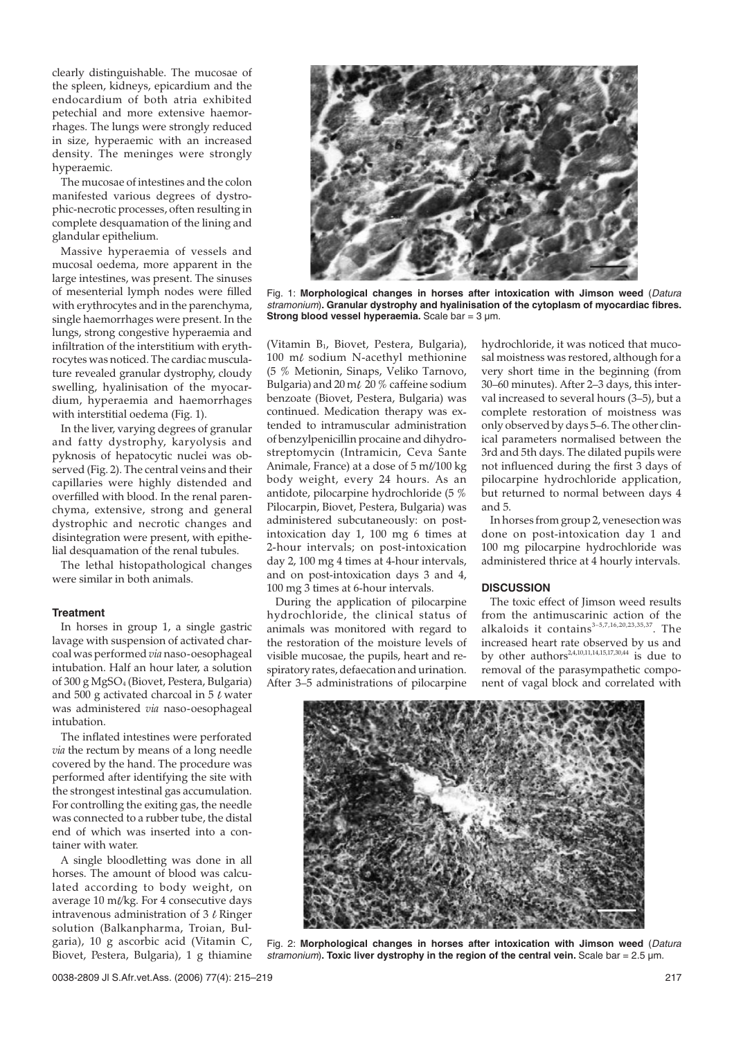clearly distinguishable. The mucosae of the spleen, kidneys, epicardium and the endocardium of both atria exhibited petechial and more extensive haemorrhages. The lungs were strongly reduced in size, hyperaemic with an increased density. The meninges were strongly hyperaemic.

The mucosae of intestines and the colon manifested various degrees of dystrophic-necrotic processes, often resulting in complete desquamation of the lining and glandular epithelium.

Massive hyperaemia of vessels and mucosal oedema, more apparent in the large intestines, was present. The sinuses of mesenterial lymph nodes were filled with erythrocytes and in the parenchyma, single haemorrhages were present. In the lungs, strong congestive hyperaemia and infiltration of the interstitium with erythrocytes was noticed. The cardiac musculature revealed granular dystrophy, cloudy swelling, hyalinisation of the myocardium, hyperaemia and haemorrhages with interstitial oedema (Fig. 1).

In the liver, varying degrees of granular and fatty dystrophy, karyolysis and pyknosis of hepatocytic nuclei was observed (Fig. 2). The central veins and their capillaries were highly distended and overfilled with blood. In the renal parenchyma, extensive, strong and general dystrophic and necrotic changes and disintegration were present, with epithelial desquamation of the renal tubules.

The lethal histopathological changes were similar in both animals.

#### **Treatment**

In horses in group 1, a single gastric lavage with suspension of activated charcoal was performed*via*naso-oesophageal intubation. Half an hour later, a solution of 300 g MgSO<sub>4</sub> (Biovet, Pestera, Bulgaria) and 500 g activated charcoal in 5  $\ell$  water was administered *via* naso-oesophageal intubation.

The inflated intestines were perforated *via* the rectum by means of a long needle covered by the hand. The procedure was performed after identifying the site with the strongest intestinal gas accumulation. For controlling the exiting gas, the needle was connected to a rubber tube, the distal end of which was inserted into a container with water.

A single bloodletting was done in all horses. The amount of blood was calculated according to body weight, on average 10 m//kg. For 4 consecutive days intravenous administration of  $3 \ell$  Ringer solution (Balkanpharma, Troian, Bulgaria), 10 g ascorbic acid (Vitamin C, Biovet, Pestera, Bulgaria), 1 g thiamine



Fig. 1: **Morphological changes in horses after intoxication with Jimson weed** (Datura stramonium)**. Granular dystrophy and hyalinisation of the cytoplasm of myocardiac fibres. Strong blood vessel hyperaemia.** Scale bar = 3 µm.

(Vitamin B<sub>1</sub>, Biovet, Pestera, Bulgaria),  $100$  m $\ell$  sodium N-acethyl methionine (5 % Metionin, Sinaps, Veliko Tarnovo, Bulgaria) and 20 m $\ell$  20 % caffeine sodium benzoate (Biovet, Pestera, Bulgaria) was continued. Medication therapy was extended to intramuscular administration of benzylpenicillin procaine and dihydrostreptomycin (Intramicin, Ceva Sante Animale, France) at a dose of 5 ml/100 kg body weight, every 24 hours. As an antidote, pilocarpine hydrochloride (5 % Pilocarpin, Biovet, Pestera, Bulgaria) was administered subcutaneously: on postintoxication day 1, 100 mg 6 times at 2-hour intervals; on post-intoxication day 2, 100 mg 4 times at 4-hour intervals, and on post-intoxication days 3 and 4, 100 mg 3 times at 6-hour intervals.

During the application of pilocarpine hydrochloride, the clinical status of animals was monitored with regard to the restoration of the moisture levels of visible mucosae, the pupils, heart and respiratory rates, defaecation and urination. After 3–5 administrations of pilocarpine hydrochloride, it was noticed that mucosal moistness was restored, although for a very short time in the beginning (from 30–60 minutes). After 2–3 days, this interval increased to several hours (3–5), but a complete restoration of moistness was only observed by days 5–6. The other clinical parameters normalised between the 3rd and 5th days. The dilated pupils were not influenced during the first 3 days of pilocarpine hydrochloride application, but returned to normal between days 4 and 5.

In horses from group 2, venesection was done on post-intoxication day 1 and 100 mg pilocarpine hydrochloride was administered thrice at 4 hourly intervals.

# **DISCUSSION**

The toxic effect of Jimson weed results from the antimuscarinic action of the alkaloids it contains $3-5,7,16,20,23,35,37$ . The increased heart rate observed by us and by other authors<sup>2,4,10,11,14,15,17,30,44</sup> is due to removal of the parasympathetic component of vagal block and correlated with



Fig. 2: **Morphological changes in horses after intoxication with Jimson weed** (Datura stramonium)**. Toxic liver dystrophy in the region of the central vein.** Scale bar = 2.5 µm.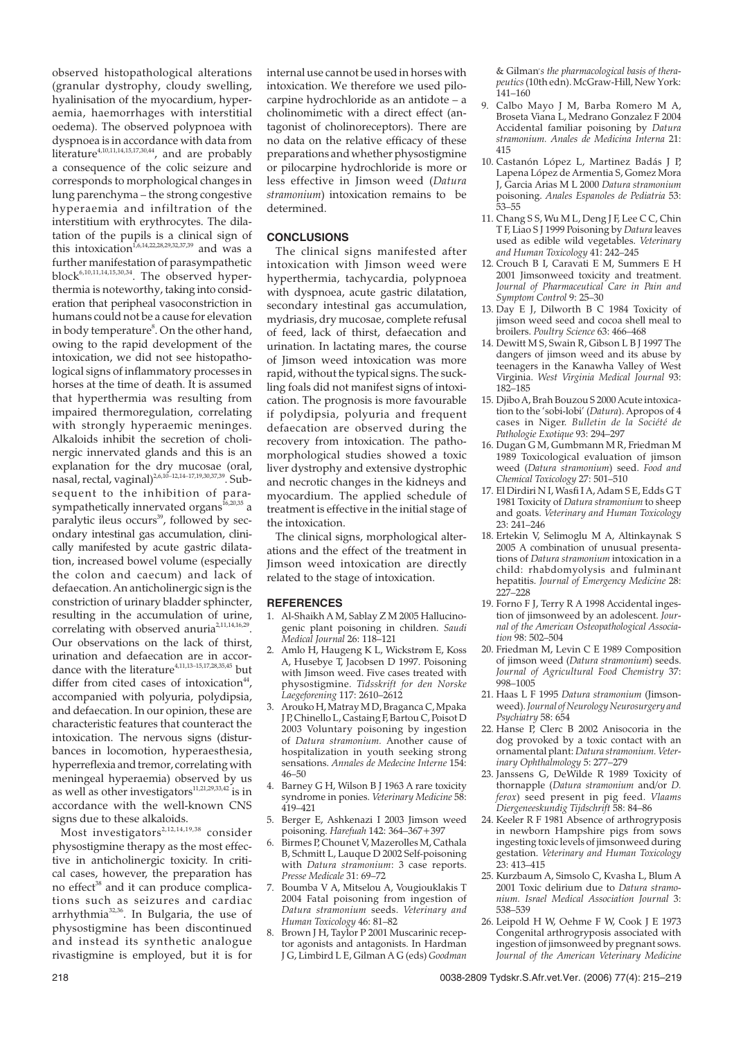observed histopathological alterations (granular dystrophy, cloudy swelling, hyalinisation of the myocardium, hyperaemia, haemorrhages with interstitial oedema). The observed polypnoea with dyspnoea is in accordance with data from literature<sup>4,10,11,14,15,17,30,44</sup>, and are probably a consequence of the colic seizure and corresponds to morphological changes in lung parenchyma – the strong congestive hyperaemia and infiltration of the interstitium with erythrocytes. The dilatation of the pupils is a clinical sign of this intoxication<sup>1,6,14,22,28,29,32,37,39</sup> and was a further manifestation of parasympathetic block<sup>6,10,11,14,15,30,34</sup>. The observed hyperthermia is noteworthy, taking into consideration that peripheal vasoconstriction in humans could not be a cause for elevation in body temperature<sup>8</sup>. On the other hand, owing to the rapid development of the intoxication, we did not see histopathological signs of inflammatory processes in horses at the time of death. It is assumed that hyperthermia was resulting from impaired thermoregulation, correlating with strongly hyperaemic meninges. Alkaloids inhibit the secretion of cholinergic innervated glands and this is an explanation for the dry mucosae (oral, nasal, rectal, vaginal)<sup>2,6,10–12,14–17,19,30,37,39</sup>. Subsequent to the inhibition of parasympathetically innervated organs<sup>16,20,35</sup> a paralytic ileus occurs<sup>39</sup>, followed by secondary intestinal gas accumulation, clinically manifested by acute gastric dilatation, increased bowel volume (especially the colon and caecum) and lack of defaecation. An anticholinergic sign is the constriction of urinary bladder sphincter, resulting in the accumulation of urine, correlating with observed anuria<sup>2,11,14,16,29</sup>. Our observations on the lack of thirst, urination and defaecation are in accordance with the literature<sup>4,11,13–15,17,28,35,45</sup> but differ from cited cases of intoxication $44$ , accompanied with polyuria, polydipsia, and defaecation. In our opinion, these are characteristic features that counteract the intoxication. The nervous signs (disturbances in locomotion, hyperaesthesia, hyperreflexia and tremor, correlating with meningeal hyperaemia) observed by us as well as other investigators<sup>11,21,29,33,42</sup> is in accordance with the well-known CNS signs due to these alkaloids.

Most investigators<sup>2,12,14,19,38</sup> consider physostigmine therapy as the most effective in anticholinergic toxicity. In critical cases, however, the preparation has no effect<sup>38</sup> and it can produce complications such as seizures and cardiac arrhythmia32,36. In Bulgaria, the use of physostigmine has been discontinued and instead its synthetic analogue rivastigmine is employed, but it is for

internal use cannot be used in horses with intoxication. We therefore we used pilocarpine hydrochloride as an antidote – a cholinomimetic with a direct effect (antagonist of cholinoreceptors). There are no data on the relative efficacy of these preparations and whether physostigmine or pilocarpine hydrochloride is more or less effective in Jimson weed (*Datura stramonium*) intoxication remains to be determined.

# **CONCLUSIONS**

The clinical signs manifested after intoxication with Jimson weed were hyperthermia, tachycardia, polypnoea with dyspnoea, acute gastric dilatation, secondary intestinal gas accumulation, mydriasis, dry mucosae, complete refusal of feed, lack of thirst, defaecation and urination. In lactating mares, the course of Jimson weed intoxication was more rapid, without the typical signs. The suckling foals did not manifest signs of intoxication. The prognosis is more favourable if polydipsia, polyuria and frequent defaecation are observed during the recovery from intoxication. The pathomorphological studies showed a toxic liver dystrophy and extensive dystrophic and necrotic changes in the kidneys and myocardium. The applied schedule of treatment is effective in the initial stage of the intoxication.

The clinical signs, morphological alterations and the effect of the treatment in Jimson weed intoxication are directly related to the stage of intoxication.

#### **REFERENCES**

- 1. Al-Shaikh A M, Sablay Z M 2005 Hallucinogenic plant poisoning in children. *Saudi Medical Journal* 26: 118–121
- 2. Amlo H, Haugeng K L, Wickstrøm E, Koss A, Husebye T, Jacobsen D 1997. Poisoning with Jimson weed. Five cases treated with physostigmine. *Tidsskrift for den Norske Laegeforening* 117: 2610–2612
- 3. Arouko H, Matray M D, Braganca C, Mpaka J P, Chinello L, Castaing F, Bartou C, Poisot D 2003 Voluntary poisoning by ingestion of *Datura stramonium.* Another cause of hospitalization in youth seeking strong sensations. *Annales de Medecine Interne* 154: 46–50
- 4. Barney G H, Wilson B J 1963 A rare toxicity syndrome in ponies. *Veterinary Medicine* 58: 419–421
- 5. Berger E, Ashkenazi I 2003 Jimson weed poisoning. *Harefuah* 142: 364–367+397
- $\overline{b}$  Birmes P, Chounet V, Mazerolles M, Cathala B, Schmitt L, Lauque D 2002 Self-poisoning with *Datura stramonium*: 3 case reports. *Presse Medicale* 31: 69–72
- 7. Boumba V A, Mitselou A, Vougiouklakis T 2004 Fatal poisoning from ingestion of *Datura stramonium* seeds. *Veterinary and Human Toxicology* 46: 81–82
- Brown J H, Taylor P 2001 Muscarinic receptor agonists and antagonists. In Hardman J G, Limbird L E, Gilman A G (eds) *Goodman*

& Gilman*, s the pharmacological basis of therapeutics*(10th edn). McGraw-Hill, New York: 141–160

- 9. Calbo Mayo J M, Barba Romero M A, Broseta Viana L, Medrano Gonzalez F 2004 Accidental familiar poisoning by *Datura stramonium. Anales de Medicina Interna* 21: 415
- 10. Castanón López L, Martinez Badás J P, Lapena López de Armentia S, Gomez Mora J, Garcia Arias M L 2000 *Datura stramonium* poisoning. *Anales Espanoles de Pediatria* 53: 53–55
- 11. Chang S S, Wu M L, Deng J F, Lee C C, Chin T F, Liao S J 1999 Poisoning by *Datura* leaves used as edible wild vegetables. *Veterinary and Human Toxicology* 41: 242–245
- 12. Crouch B I, Caravati E M, Summers E H 2001 Jimsonweed toxicity and treatment. *Journal of Pharmaceutical Care in Pain and Symptom Control* 9: 25–30
- 13. Day E J, Dilworth B C 1984 Toxicity of jimson weed seed and cocoa shell meal to broilers. *Poultry Science* 63: 466–468
- 14. Dewitt M S, Swain R, Gibson L B J 1997 The dangers of jimson weed and its abuse by teenagers in the Kanawha Valley of West Virginia. *West Virginia Medical Journal* 93: 182–185
- 15. Djibo A, Brah Bouzou S 2000 Acute intoxication to the 'sobi-lobi' (*Datura*). Apropos of 4 cases in Niger. *Bulletin de la Société de Pathologie Exotique* 93: 294–297
- 16. Dugan G M, Gumbmann M R, Friedman M 1989 Toxicological evaluation of jimson weed (*Datura stramonium*) seed. *Food and Chemical Toxicology* 27: 501–510
- 17. El Dirdiri N I, Wasfi I A, Adam S E, Edds G T 1981 Toxicity of *Datura stramonium* to sheep and goats. *Veterinary and Human Toxicology* 23: 241–246
- 18. Ertekin V, Selimoglu M A, Altinkaynak S 2005 A combination of unusual presentations of *Datura stramonium* intoxication in a child: rhabdomyolysis and fulminant hepatitis. *Journal of Emergency Medicine* 28: 227–228
- 19. Forno F J, Terry R A 1998 Accidental ingestion of jimsonweed by an adolescent. *Journal of the American Osteopathological Association* 98: 502–504
- 20. Friedman M, Levin C E 1989 Composition of jimson weed (*Datura stramonium*) seeds. *Journal of Agricultural Food Chemistry* 37: 998–1005
- 21. Haas L F 1995 *Datura stramonium* (Jimsonweed).*Journal of Neurology Neurosurgery and Psychiatry* 58: 654
- 22. Hanse P. Clerc B 2002 Anisocoria in the dog provoked by a toxic contact with an ornamental plant: *Datura stramonium. Veterinary Ophthalmology* 5: 277–279
- 23. Janssens G, DeWilde R 1989 Toxicity of thornapple (*Datura stramonium* and/or *D. ferox*) seed present in pig feed. *Vlaams Diergeneeskundig Tijdschrift* 58: 84–86
- 24. Keeler R F 1981 Absence of arthrogryposis in newborn Hampshire pigs from sows ingesting toxic levels of jimsonweed during gestation. *Veterinary and Human Toxicology* 23: 413–415
- 25. Kurzbaum A, Simsolo C, Kvasha L, Blum A 2001 Toxic delirium due to *Datura stramonium. Israel Medical Association Journal* 3: 538–539
- 26. Leipold H W, Oehme F W, Cook J E 1973 Congenital arthrogryposis associated with ingestion of jimsonweed by pregnant sows. *Journal of the American Veterinary Medicine*